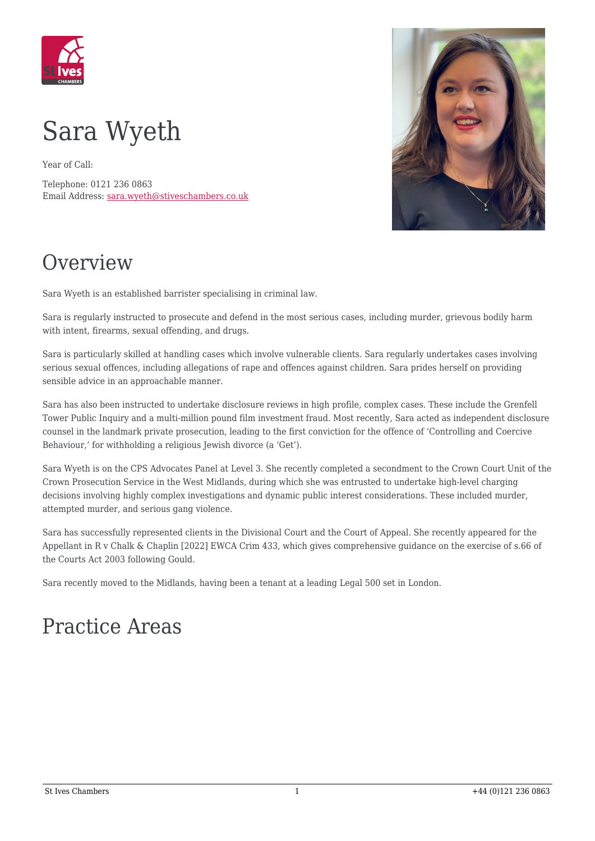



Year of Call:

Telephone: 0121 236 0863 Email Address: [sara.wyeth@stiveschambers.co.uk](mailto:sara.wyeth@stiveschambers.co.uk)



# **Overview**

Sara Wyeth is an established barrister specialising in criminal law.

Sara is regularly instructed to prosecute and defend in the most serious cases, including murder, grievous bodily harm with intent, firearms, sexual offending, and drugs.

Sara is particularly skilled at handling cases which involve vulnerable clients. Sara regularly undertakes cases involving serious sexual offences, including allegations of rape and offences against children. Sara prides herself on providing sensible advice in an approachable manner.

Sara has also been instructed to undertake disclosure reviews in high profile, complex cases. These include the Grenfell Tower Public Inquiry and a multi-million pound film investment fraud. Most recently, Sara acted as independent disclosure counsel in the landmark private prosecution, leading to the first conviction for the offence of 'Controlling and Coercive Behaviour,' for withholding a religious Jewish divorce (a 'Get').

Sara Wyeth is on the CPS Advocates Panel at Level 3. She recently completed a secondment to the Crown Court Unit of the Crown Prosecution Service in the West Midlands, during which she was entrusted to undertake high-level charging decisions involving highly complex investigations and dynamic public interest considerations. These included murder, attempted murder, and serious gang violence.

Sara has successfully represented clients in the Divisional Court and the Court of Appeal. She recently appeared for the Appellant in R v Chalk & Chaplin [2022] EWCA Crim 433, which gives comprehensive guidance on the exercise of s.66 of the Courts Act 2003 following Gould.

Sara recently moved to the Midlands, having been a tenant at a leading Legal 500 set in London.

### Practice Areas